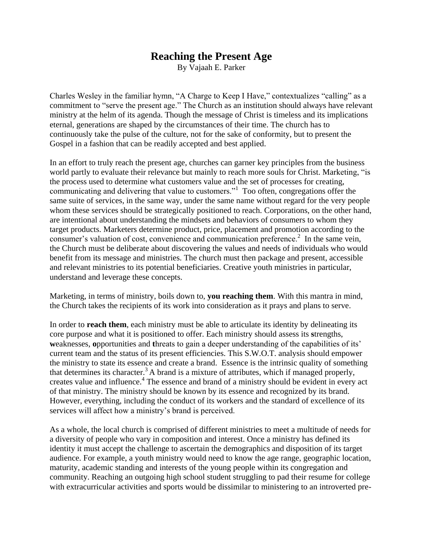## **Reaching the Present Age**

By Vajaah E. Parker

Charles Wesley in the familiar hymn, "A Charge to Keep I Have," contextualizes "calling" as a commitment to "serve the present age." The Church as an institution should always have relevant ministry at the helm of its agenda. Though the message of Christ is timeless and its implications eternal, generations are shaped by the circumstances of their time. The church has to continuously take the pulse of the culture, not for the sake of conformity, but to present the Gospel in a fashion that can be readily accepted and best applied.

In an effort to truly reach the present age, churches can garner key principles from the business world partly to evaluate their relevance but mainly to reach more souls for Christ. Marketing, "is the process used to determine what customers value and the set of processes for creating, communicating and delivering that value to customers."<sup>1</sup> Too often, congregations offer the same suite of services, in the same way, under the same name without regard for the very people whom these services should be strategically positioned to reach. Corporations, on the other hand, are intentional about understanding the mindsets and behaviors of consumers to whom they target products. Marketers determine product, price, placement and promotion according to the consumer's valuation of cost, convenience and communication preference.<sup>2</sup> In the same vein, the Church must be deliberate about discovering the values and needs of individuals who would benefit from its message and ministries. The church must then package and present, accessible and relevant ministries to its potential beneficiaries. Creative youth ministries in particular, understand and leverage these concepts.

Marketing, in terms of ministry, boils down to, **you reaching them**. With this mantra in mind, the Church takes the recipients of its work into consideration as it prays and plans to serve.

In order to **reach them**, each ministry must be able to articulate its identity by delineating its core purpose and what it is positioned to offer. Each ministry should assess its **s**trengths, **w**eaknesses, **o**pportunities and **t**hreats to gain a deeper understanding of the capabilities of its' current team and the status of its present efficiencies. This S.W.O.T. analysis should empower the ministry to state its essence and create a brand. Essence is the intrinsic quality of something that determines its character.<sup>3</sup> A brand is a mixture of attributes, which if managed properly, creates value and influence.<sup>4</sup> The essence and brand of a ministry should be evident in every act of that ministry. The ministry should be known by its essence and recognized by its brand. However, everything, including the conduct of its workers and the standard of excellence of its services will affect how a ministry's brand is perceived.

As a whole, the local church is comprised of different ministries to meet a multitude of needs for a diversity of people who vary in composition and interest. Once a ministry has defined its identity it must accept the challenge to ascertain the demographics and disposition of its target audience. For example, a youth ministry would need to know the age range, geographic location, maturity, academic standing and interests of the young people within its congregation and community. Reaching an outgoing high school student struggling to pad their resume for college with extracurricular activities and sports would be dissimilar to ministering to an introverted pre